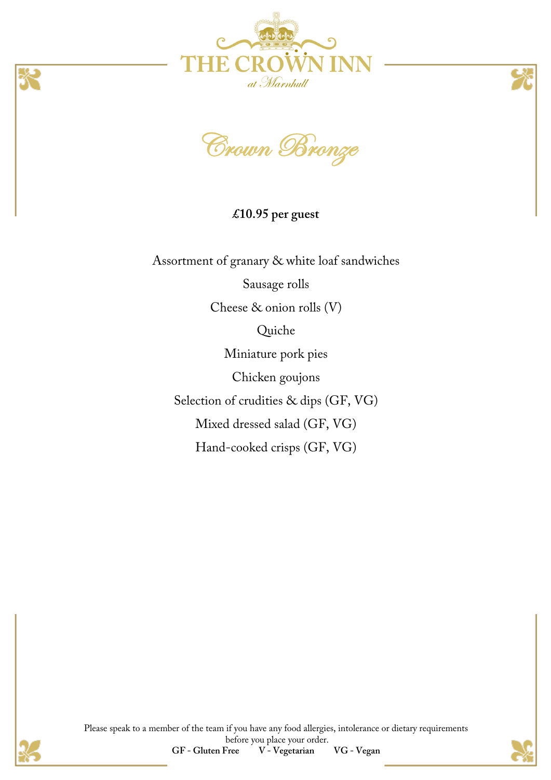





**£10.95 per guest**

Assortment of granary & white loaf sandwiches Sausage rolls Cheese & onion rolls (V) Quiche Miniature pork pies Chicken goujons Selection of crudities & dips (GF, VG) Mixed dressed salad (GF, VG) Hand-cooked crisps (GF, VG)





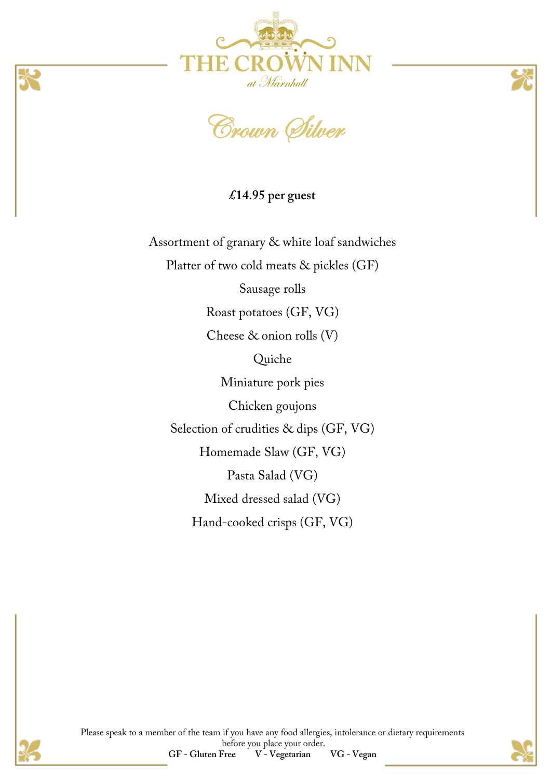



**£14.95 per guest**

Assortment of granary & white loaf sandwiches Platter of two cold meats & pickles (GF)

Sausage rolls

Roast potatoes (GF, VG)

Cheese & onion rolls (V)

Quiche

Miniature pork pies

Chicken goujons

Selection of crudities & dips (GF, VG)

Homemade Slaw (GF, VG)

Pasta Salad (VG)

Mixed dressed salad (VG)

Hand-cooked crisps (GF, VG)



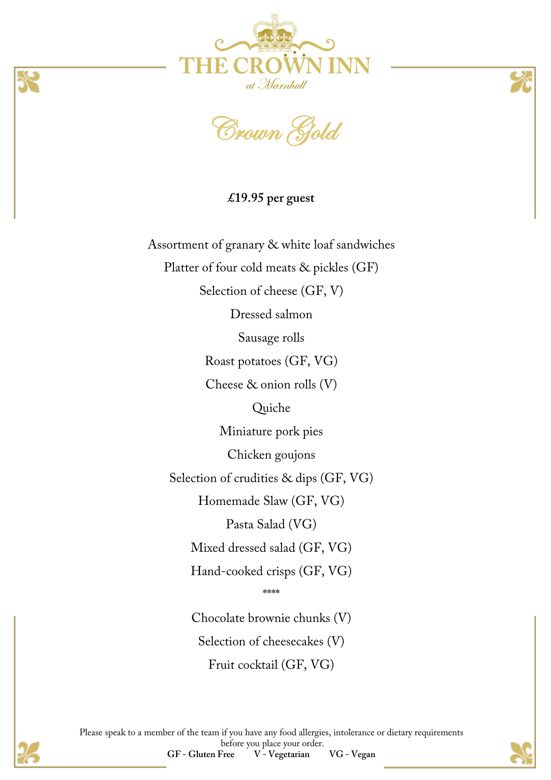



**£19.95 per guest**

Assortment of granary & white loaf sandwiches Platter of four cold meats & pickles (GF) Selection of cheese (GF, V) Dressed salmon Sausage rolls Roast potatoes (GF, VG) Cheese & onion rolls (V) Quiche Miniature pork pies Chicken goujons Selection of crudities & dips (GF, VG) Homemade Slaw (GF, VG) Pasta Salad (VG) Mixed dressed salad (GF, VG) Hand-cooked crisps (GF, VG) \*\*\*\* Chocolate brownie chunks (V)

Selection of cheesecakes (V)

Fruit cocktail (GF, VG)

Please speak to a member of the team if you have any food allergies, intolerance or dietary requirements before you place your order. **GF - Gluten Free V - Vegetarian VG - Vegan**